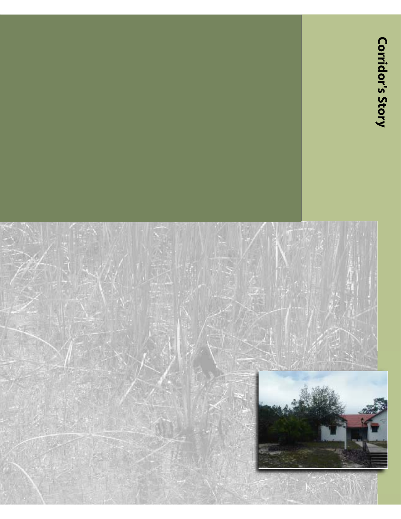# **Corridor's Story**

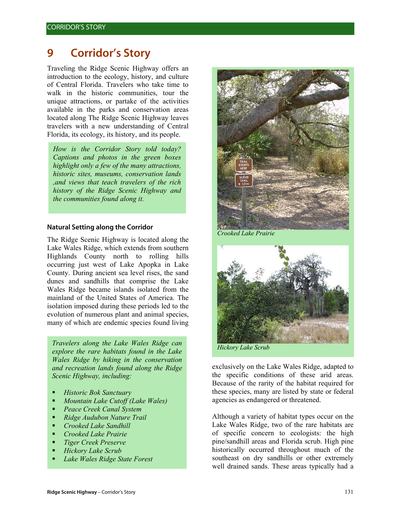# **9 Corridor's Story**

Traveling the Ridge Scenic Highway offers an introduction to the ecology, history, and culture of Central Florida. Travelers who take time to walk in the historic communities, tour the unique attractions, or partake of the activities available in the parks and conservation areas located along The Ridge Scenic Highway leaves travelers with a new understanding of Central Florida, its ecology, its history, and its people.

*How is the Corridor Story told today? Captions and photos in the green boxes highlight only a few of the many attractions, historic sites, museums, conservation lands ,and views that teach travelers of the rich history of the Ridge Scenic Highway and the communities found along it.* 

#### **Natural Setting along the Corridor**

The Ridge Scenic Highway is located along the Lake Wales Ridge, which extends from southern Highlands County north to rolling hills occurring just west of Lake Apopka in Lake County. During ancient sea level rises, the sand dunes and sandhills that comprise the Lake Wales Ridge became islands isolated from the mainland of the United States of America. The isolation imposed during these periods led to the evolution of numerous plant and animal species, many of which are endemic species found living

*Travelers along the Lake Wales Ridge can explore the rare habitats found in the Lake Wales Ridge by hiking in the conservation and recreation lands found along the Ridge Scenic Highway, including:* 

- *Historic Bok Sanctuary*
- *Mountain Lake Cutoff (Lake Wales)*
- *Peace Creek Canal System*
- *Ridge Audubon Nature Trail*
- *Crooked Lake Sandhill*
- *Crooked Lake Prairie*
- *Tiger Creek Preserve*
- *Hickory Lake Scrub*
- *Lake Wales Ridge State Forest*



*Crooked Lake Prairie* 



exclusively on the Lake Wales Ridge, adapted to the specific conditions of these arid areas. Because of the rarity of the habitat required for these species, many are listed by state or federal agencies as endangered or threatened.

Although a variety of habitat types occur on the Lake Wales Ridge, two of the rare habitats are of specific concern to ecologists: the high pine/sandhill areas and Florida scrub. High pine historically occurred throughout much of the southeast on dry sandhills or other extremely well drained sands. These areas typically had a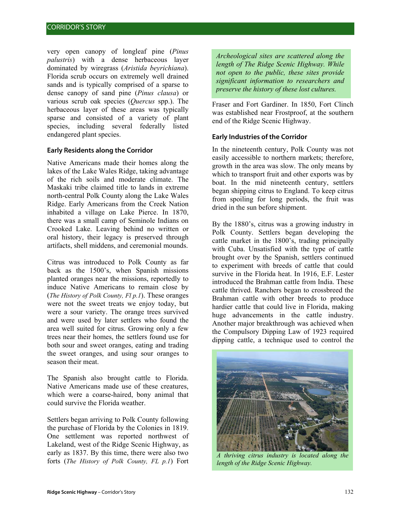very open canopy of longleaf pine (*Pinus palustris*) with a dense herbaceous layer dominated by wiregrass (*Aristida beyrichiana*). Florida scrub occurs on extremely well drained sands and is typically comprised of a sparse to dense canopy of sand pine (*Pinus clausa*) or various scrub oak species (*Quercus* spp.). The herbaceous layer of these areas was typically sparse and consisted of a variety of plant species, including several federally listed endangered plant species.

# **Early Residents along the Corridor**

Native Americans made their homes along the lakes of the Lake Wales Ridge, taking advantage of the rich soils and moderate climate. The Maskaki tribe claimed title to lands in extreme north-central Polk County along the Lake Wales Ridge. Early Americans from the Creek Nation inhabited a village on Lake Pierce. In 1870, there was a small camp of Seminole Indians on Crooked Lake. Leaving behind no written or oral history, their legacy is preserved through artifacts, shell middens, and ceremonial mounds.

Citrus was introduced to Polk County as far back as the 1500's, when Spanish missions planted oranges near the missions, reportedly to induce Native Americans to remain close by (*The History of Polk County, Fl p.1*). These oranges were not the sweet treats we enjoy today, but were a sour variety. The orange trees survived and were used by later settlers who found the area well suited for citrus. Growing only a few trees near their homes, the settlers found use for both sour and sweet oranges, eating and trading the sweet oranges, and using sour oranges to season their meat.

The Spanish also brought cattle to Florida. Native Americans made use of these creatures, which were a coarse-haired, bony animal that could survive the Florida weather.

Settlers began arriving to Polk County following the purchase of Florida by the Colonies in 1819. One settlement was reported northwest of Lakeland, west of the Ridge Scenic Highway, as early as 1837. By this time, there were also two forts (*The History of Polk County, FL p.1*) Fort

*Archeological sites are scattered along the length of The Ridge Scenic Highway. While not open to the public, these sites provide significant information to researchers and preserve the history of these lost cultures.* 

Fraser and Fort Gardiner. In 1850, Fort Clinch was established near Frostproof, at the southern end of the Ridge Scenic Highway.

# **Early Industries of the Corridor**

In the nineteenth century, Polk County was not easily accessible to northern markets; therefore, growth in the area was slow. The only means by which to transport fruit and other exports was by boat. In the mid nineteenth century, settlers began shipping citrus to England. To keep citrus from spoiling for long periods, the fruit was dried in the sun before shipment.

By the 1880's, citrus was a growing industry in Polk County. Settlers began developing the cattle market in the 1800's, trading principally with Cuba. Unsatisfied with the type of cattle brought over by the Spanish, settlers continued to experiment with breeds of cattle that could survive in the Florida heat. In 1916, E.F. Lester introduced the Brahman cattle from India. These cattle thrived. Ranchers began to crossbreed the Brahman cattle with other breeds to produce hardier cattle that could live in Florida, making huge advancements in the cattle industry. Another major breakthrough was achieved when the Compulsory Dipping Law of 1923 required dipping cattle, a technique used to control the



*A thriving citrus industry is located along the length of the Ridge Scenic Highway.*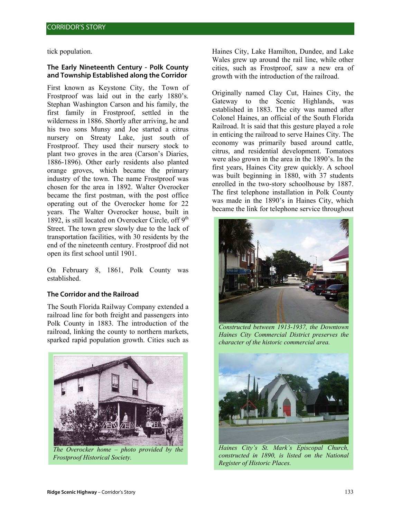tick population.

#### **The Early Nineteenth Century - Polk County and Township Established along the Corridor**

First known as Keystone City, the Town of Frostproof was laid out in the early 1880's. Stephan Washington Carson and his family, the first family in Frostproof, settled in the wilderness in 1886. Shortly after arriving, he and his two sons Munsy and Joe started a citrus nursery on Streaty Lake, just south of Frostproof. They used their nursery stock to plant two groves in the area (Carson's Diaries, 1886-1896). Other early residents also planted orange groves, which became the primary industry of the town. The name Frostproof was chosen for the area in 1892. Walter Overocker became the first postman, with the post office operating out of the Overocker home for 22 years. The Walter Overocker house, built in 1892, is still located on Overocker Circle, off  $9<sup>th</sup>$ Street. The town grew slowly due to the lack of transportation facilities, with 30 residents by the end of the nineteenth century. Frostproof did not open its first school until 1901.

On February 8, 1861, Polk County was established.

# **The Corridor and the Railroad**

The South Florida Railway Company extended a railroad line for both freight and passengers into Polk County in 1883. The introduction of the railroad, linking the county to northern markets, sparked rapid population growth. Cities such as



*The Overocker home – photo provided by the Frostproof Historical Society.*

Haines City, Lake Hamilton, Dundee, and Lake Wales grew up around the rail line, while other cities, such as Frostproof, saw a new era of growth with the introduction of the railroad.

Originally named Clay Cut, Haines City, the Gateway to the Scenic Highlands, was established in 1883. The city was named after Colonel Haines, an official of the South Florida Railroad. It is said that this gesture played a role in enticing the railroad to serve Haines City. The economy was primarily based around cattle, citrus, and residential development. Tomatoes were also grown in the area in the 1890's. In the first years, Haines City grew quickly. A school was built beginning in 1880, with 37 students enrolled in the two-story schoolhouse by 1887. The first telephone installation in Polk County was made in the 1890's in Haines City, which became the link for telephone service throughout



*Constructed between 1913-1937, the Downtown Haines City Commercial District preserves the character of the historic commercial area.* 



*Haines City's St. Mark's Episcopal Church, constructed in 1890, is listed on the National Register of Historic Places.*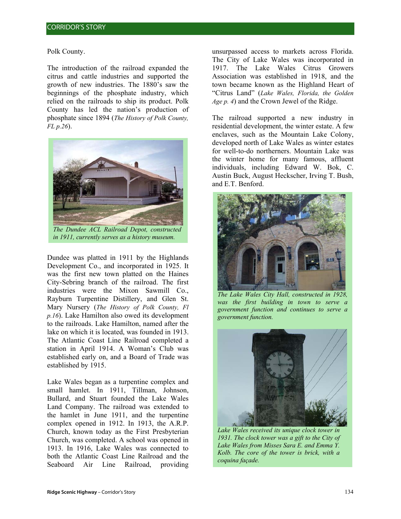#### Polk County.

The introduction of the railroad expanded the citrus and cattle industries and supported the growth of new industries. The 1880's saw the beginnings of the phosphate industry, which relied on the railroads to ship its product. Polk County has led the nation's production of phosphate since 1894 (*The History of Polk County, FL p.26*).



*in 1911, currently serves as a history museum.*

Dundee was platted in 1911 by the Highlands Development Co., and incorporated in 1925. It was the first new town platted on the Haines City-Sebring branch of the railroad. The first industries were the Mixon Sawmill Co., Rayburn Turpentine Distillery, and Glen St. Mary Nursery (*The History of Polk County, Fl p.16*). Lake Hamilton also owed its development to the railroads. Lake Hamilton, named after the lake on which it is located, was founded in 1913. The Atlantic Coast Line Railroad completed a station in April 1914. A Woman's Club was established early on, and a Board of Trade was established by 1915.

Lake Wales began as a turpentine complex and small hamlet. In 1911, Tillman, Johnson, Bullard, and Stuart founded the Lake Wales Land Company. The railroad was extended to the hamlet in June 1911, and the turpentine complex opened in 1912. In 1913, the A.R.P. Church, known today as the First Presbyterian Church, was completed. A school was opened in 1913. In 1916, Lake Wales was connected to both the Atlantic Coast Line Railroad and the Seaboard Air Line Railroad, providing

unsurpassed access to markets across Florida. The City of Lake Wales was incorporated in 1917. The Lake Wales Citrus Growers Association was established in 1918, and the town became known as the Highland Heart of "Citrus Land" (*Lake Wales, Florida, the Golden Age p. 4*) and the Crown Jewel of the Ridge.

The railroad supported a new industry in residential development, the winter estate. A few enclaves, such as the Mountain Lake Colony, developed north of Lake Wales as winter estates for well-to-do northerners. Mountain Lake was the winter home for many famous, affluent individuals, including Edward W. Bok, C. Austin Buck, August Heckscher, Irving T. Bush, and E.T. Benford.



*The Lake Wales City Hall, constructed in 1928, was the first building in town to serve a government function and continues to serve a government function.* 



*Lake Wales received its unique clock tower in 1931. The clock tower was a gift to the City of Lake Wales from Misses Sara E. and Emma Y. Kolb. The core of the tower is brick, with a coquina façade.*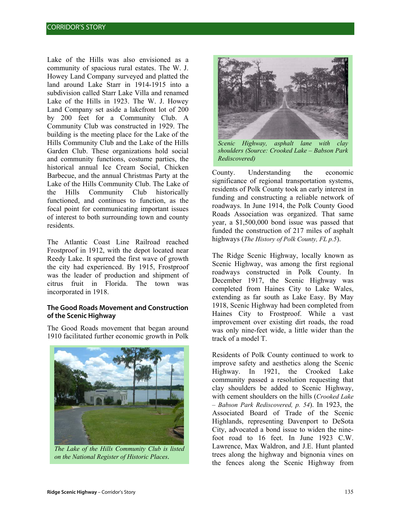Lake of the Hills was also envisioned as a community of spacious rural estates. The W. J. Howey Land Company surveyed and platted the land around Lake Starr in 1914-1915 into a subdivision called Starr Lake Villa and renamed Lake of the Hills in 1923. The W. J. Howey Land Company set aside a lakefront lot of 200 by 200 feet for a Community Club. A Community Club was constructed in 1929. The building is the meeting place for the Lake of the Hills Community Club and the Lake of the Hills Garden Club. These organizations hold social and community functions, costume parties, the historical annual Ice Cream Social, Chicken Barbecue, and the annual Christmas Party at the Lake of the Hills Community Club. The Lake of the Hills Community Club historically functioned, and continues to function, as the focal point for communicating important issues of interest to both surrounding town and county residents.

The Atlantic Coast Line Railroad reached Frostproof in 1912, with the depot located near Reedy Lake. It spurred the first wave of growth the city had experienced. By 1915, Frostproof was the leader of production and shipment of citrus fruit in Florida. The town was incorporated in 1918.

# **The Good Roads Movement and Construction of the Scenic Highway**

The Good Roads movement that began around 1910 facilitated further economic growth in Polk



*The Lake of the Hills Community Club is listed on the National Register of Historic Places*.



*Scenic Highway, asphalt lane with clay shoulders (Source: Crooked Lake – Babson Park Rediscovered)* 

County. Understanding the economic significance of regional transportation systems, residents of Polk County took an early interest in funding and constructing a reliable network of roadways. In June 1914, the Polk County Good Roads Association was organized. That same year, a \$1,500,000 bond issue was passed that funded the construction of 217 miles of asphalt highways (*The History of Polk County, FL p.5*).

The Ridge Scenic Highway, locally known as Scenic Highway, was among the first regional roadways constructed in Polk County. In December 1917, the Scenic Highway was completed from Haines City to Lake Wales, extending as far south as Lake Easy. By May 1918, Scenic Highway had been completed from Haines City to Frostproof. While a vast improvement over existing dirt roads, the road was only nine-feet wide, a little wider than the track of a model T.

Residents of Polk County continued to work to improve safety and aesthetics along the Scenic Highway. In 1921, the Crooked Lake community passed a resolution requesting that clay shoulders be added to Scenic Highway, with cement shoulders on the hills (*Crooked Lake – Babson Park Rediscovered, p. 54*). In 1923, the Associated Board of Trade of the Scenic Highlands, representing Davenport to DeSota City, advocated a bond issue to widen the ninefoot road to 16 feet. In June 1923 C.W. Lawrence, Max Waldron, and J.E. Hunt planted trees along the highway and bignonia vines on the fences along the Scenic Highway from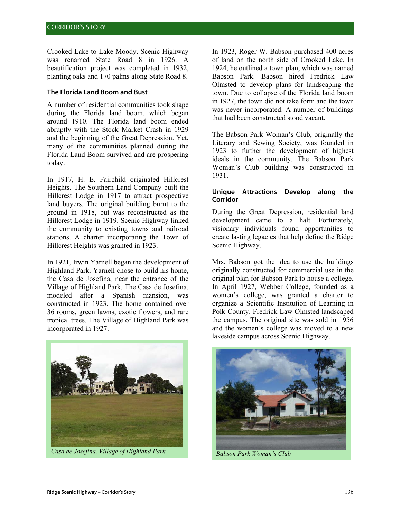Crooked Lake to Lake Moody. Scenic Highway was renamed State Road 8 in 1926. A beautification project was completed in 1932, planting oaks and 170 palms along State Road 8.

# **The Florida Land Boom and Bust**

A number of residential communities took shape during the Florida land boom, which began around 1910. The Florida land boom ended abruptly with the Stock Market Crash in 1929 and the beginning of the Great Depression. Yet, many of the communities planned during the Florida Land Boom survived and are prospering today.

In 1917, H. E. Fairchild originated Hillcrest Heights. The Southern Land Company built the Hillcrest Lodge in 1917 to attract prospective land buyers. The original building burnt to the ground in 1918, but was reconstructed as the Hillcrest Lodge in 1919. Scenic Highway linked the community to existing towns and railroad stations. A charter incorporating the Town of Hillcrest Heights was granted in 1923.

In 1921, Irwin Yarnell began the development of Highland Park. Yarnell chose to build his home, the Casa de Josefina, near the entrance of the Village of Highland Park. The Casa de Josefina, modeled after a Spanish mansion, was constructed in 1923. The home contained over 36 rooms, green lawns, exotic flowers, and rare tropical trees. The Village of Highland Park was incorporated in 1927.



*Casa de Josefina, Village of Highland Park* Babson Park Woman's Club

In 1923, Roger W. Babson purchased 400 acres of land on the north side of Crooked Lake. In 1924, he outlined a town plan, which was named Babson Park. Babson hired Fredrick Law Olmsted to develop plans for landscaping the town. Due to collapse of the Florida land boom in 1927, the town did not take form and the town was never incorporated. A number of buildings that had been constructed stood vacant.

The Babson Park Woman's Club, originally the Literary and Sewing Society, was founded in 1923 to further the development of highest ideals in the community. The Babson Park Woman's Club building was constructed in 1931.

#### **Unique Attractions Develop along the Corridor**

During the Great Depression, residential land development came to a halt. Fortunately, visionary individuals found opportunities to create lasting legacies that help define the Ridge Scenic Highway.

Mrs. Babson got the idea to use the buildings originally constructed for commercial use in the original plan for Babson Park to house a college. In April 1927, Webber College, founded as a women's college, was granted a charter to organize a Scientific Institution of Learning in Polk County. Fredrick Law Olmsted landscaped the campus. The original site was sold in 1956 and the women's college was moved to a new lakeside campus across Scenic Highway.

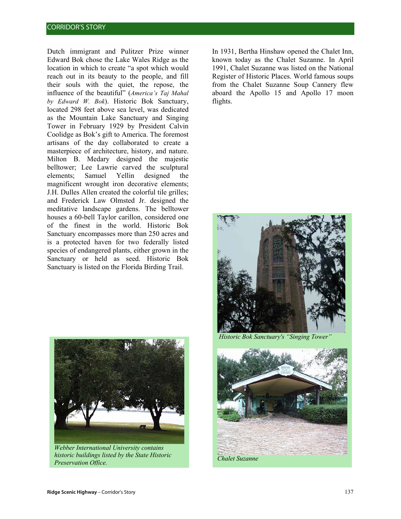Dutch immigrant and Pulitzer Prize winner Edward Bok chose the Lake Wales Ridge as the location in which to create "a spot which would reach out in its beauty to the people, and fill their souls with the quiet, the repose, the influence of the beautiful" (*America's Taj Mahal by Edward W. Bok*). Historic Bok Sanctuary, located 298 feet above sea level, was dedicated as the Mountain Lake Sanctuary and Singing Tower in February 1929 by President Calvin Coolidge as Bok's gift to America. The foremost artisans of the day collaborated to create a masterpiece of architecture, history, and nature. Milton B. Medary designed the majestic belltower; Lee Lawrie carved the sculptural elements; Samuel Yellin designed the magnificent wrought iron decorative elements; J.H. Dulles Allen created the colorful tile grilles; and Frederick Law Olmsted Jr. designed the meditative landscape gardens. The belltower houses a 60-bell Taylor carillon, considered one of the finest in the world. Historic Bok Sanctuary encompasses more than 250 acres and is a protected haven for two federally listed species of endangered plants, either grown in the Sanctuary or held as seed. Historic Bok Sanctuary is listed on the Florida Birding Trail.



*Webber International University contains historic buildings listed by the State Historic Preservation Office.*

In 1931, Bertha Hinshaw opened the Chalet Inn, known today as the Chalet Suzanne. In April 1991, Chalet Suzanne was listed on the National Register of Historic Places. World famous soups from the Chalet Suzanne Soup Cannery flew aboard the Apollo 15 and Apollo 17 moon flights.



*Historic Bok Sanctuary's "Singing Tower* 

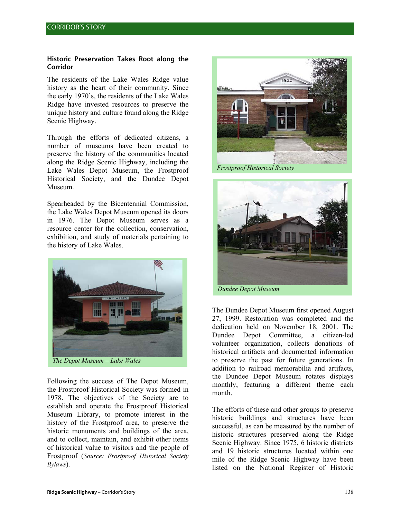#### **Historic Preservation Takes Root along the Corridor**

The residents of the Lake Wales Ridge value history as the heart of their community. Since the early 1970's, the residents of the Lake Wales Ridge have invested resources to preserve the unique history and culture found along the Ridge Scenic Highway.

Through the efforts of dedicated citizens, a number of museums have been created to preserve the history of the communities located along the Ridge Scenic Highway, including the Lake Wales Depot Museum, the Frostproof Historical Society, and the Dundee Depot Museum.

Spearheaded by the Bicentennial Commission, the Lake Wales Depot Museum opened its doors in 1976. The Depot Museum serves as a resource center for the collection, conservation, exhibition, and study of materials pertaining to the history of Lake Wales.



*The Depot Museum – Lake Wales* 

Following the success of The Depot Museum, the Frostproof Historical Society was formed in 1978. The objectives of the Society are to establish and operate the Frostproof Historical Museum Library, to promote interest in the history of the Frostproof area, to preserve the historic monuments and buildings of the area, and to collect, maintain, and exhibit other items of historical value to visitors and the people of Frostproof (*Source: Frostproof Historical Society Bylaws*).



*Frostproof Historical Society*



The Dundee Depot Museum first opened August 27, 1999. Restoration was completed and the dedication held on November 18, 2001. The Dundee Depot Committee, a citizen-led volunteer organization, collects donations of historical artifacts and documented information to preserve the past for future generations. In addition to railroad memorabilia and artifacts, the Dundee Depot Museum rotates displays monthly, featuring a different theme each month.

The efforts of these and other groups to preserve historic buildings and structures have been successful, as can be measured by the number of historic structures preserved along the Ridge Scenic Highway. Since 1975, 6 historic districts and 19 historic structures located within one mile of the Ridge Scenic Highway have been listed on the National Register of Historic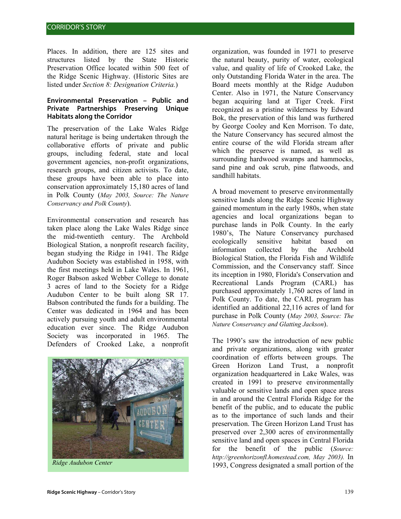Places. In addition, there are 125 sites and structures listed by the State Historic Preservation Office located within 500 feet of the Ridge Scenic Highway. (Historic Sites are listed under *Section 8: Designation Criteria.*)

#### **Environmental Preservation – Public and Private Partnerships Preserving Unique Habitats along the Corridor**

The preservation of the Lake Wales Ridge natural heritage is being undertaken through the collaborative efforts of private and public groups, including federal, state and local government agencies, non-profit organizations, research groups, and citizen activists. To date, these groups have been able to place into conservation approximately 15,180 acres of land in Polk County (*May 2003, Source: The Nature Conservancy and Polk County*).

Environmental conservation and research has taken place along the Lake Wales Ridge since the mid-twentieth century. The Archbold Biological Station, a nonprofit research facility, began studying the Ridge in 1941. The Ridge Audubon Society was established in 1958, with the first meetings held in Lake Wales. In 1961, Roger Babson asked Webber College to donate 3 acres of land to the Society for a Ridge Audubon Center to be built along SR 17. Babson contributed the funds for a building. The Center was dedicated in 1964 and has been actively pursuing youth and adult environmental education ever since. The Ridge Audubon Society was incorporated in 1965. The Defenders of Crooked Lake, a nonprofit



organization, was founded in 1971 to preserve the natural beauty, purity of water, ecological value, and quality of life of Crooked Lake, the only Outstanding Florida Water in the area. The Board meets monthly at the Ridge Audubon Center. Also in 1971, the Nature Conservancy began acquiring land at Tiger Creek. First recognized as a pristine wilderness by Edward Bok, the preservation of this land was furthered by George Cooley and Ken Morrison. To date, the Nature Conservancy has secured almost the entire course of the wild Florida stream after which the preserve is named, as well as surrounding hardwood swamps and hammocks, sand pine and oak scrub, pine flatwoods, and sandhill habitats.

A broad movement to preserve environmentally sensitive lands along the Ridge Scenic Highway gained momentum in the early 1980s, when state agencies and local organizations began to purchase lands in Polk County. In the early 1980's, The Nature Conservancy purchased ecologically sensitive habitat based on information collected by the Archbold Biological Station, the Florida Fish and Wildlife Commission, and the Conservancy staff. Since its inception in 1980, Florida's Conservation and Recreational Lands Program (CARL) has purchased approximately 1,760 acres of land in Polk County. To date, the CARL program has identified an additional 22,116 acres of land for purchase in Polk County (*May 2003, Source: The Nature Conservancy and Glatting Jackson*).

The 1990's saw the introduction of new public and private organizations, along with greater coordination of efforts between groups. The Green Horizon Land Trust, a nonprofit organization headquartered in Lake Wales, was created in 1991 to preserve environmentally valuable or sensitive lands and open space areas in and around the Central Florida Ridge for the benefit of the public, and to educate the public as to the importance of such lands and their preservation. The Green Horizon Land Trust has preserved over 2,300 acres of environmentally sensitive land and open spaces in Central Florida for the benefit of the public (*Source: http://greenhorizonfl.homestead.com, May 2003).* In 1993, Congress designated a small portion of the *Ridge Audubon Center*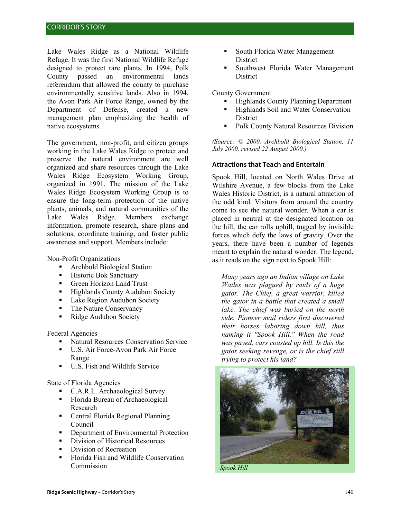Lake Wales Ridge as a National Wildlife Refuge. It was the first National Wildlife Refuge designed to protect rare plants. In 1994, Polk County passed an environmental lands referendum that allowed the county to purchase environmentally sensitive lands. Also in 1994, the Avon Park Air Force Range, owned by the Department of Defense, created a new management plan emphasizing the health of native ecosystems.

The government, non-profit, and citizen groups working in the Lake Wales Ridge to protect and preserve the natural environment are well organized and share resources through the Lake Wales Ridge Ecosystem Working Group, organized in 1991. The mission of the Lake Wales Ridge Ecosystem Working Group is to ensure the long-term protection of the native plants, animals, and natural communities of the Lake Wales Ridge. Members exchange information, promote research, share plans and solutions, coordinate training, and foster public awareness and support. Members include:

Non-Profit Organizations

- Archbold Biological Station
- **Historic Bok Sanctuary**
- Green Horizon Land Trust
- **Highlands County Audubon Society**
- **Lake Region Audubon Society**
- The Nature Conservancy
- Ridge Audubon Society

Federal Agencies

- Natural Resources Conservation Service
- U.S. Air Force-Avon Park Air Force Range
- U.S. Fish and Wildlife Service

State of Florida Agencies

- C.A.R.L. Archaeological Survey
- Florida Bureau of Archaeological Research
- Central Florida Regional Planning Council
- Department of Environmental Protection<br>• Division of Historical Resources
- Division of Historical Resources
- **Division of Recreation**
- Florida Fish and Wildlife Conservation **Commission**
- South Florida Water Management **District**
- Southwest Florida Water Management District

County Government

- Highlands County Planning Department
- Highlands Soil and Water Conservation **District**
- **Polk County Natural Resources Division**

*(Source: © 2000, Archbold Biological Station, 11 July 2000, revised 22 August 2000.)* 

#### **Attractions that Teach and Entertain**

Spook Hill, located on North Wales Drive at Wilshire Avenue, a few blocks from the Lake Wales Historic District, is a natural attraction of the odd kind. Visitors from around the country come to see the natural wonder. When a car is placed in neutral at the designated location on the hill, the car rolls uphill, tugged by invisible forces which defy the laws of gravity. Over the years, there have been a number of legends meant to explain the natural wonder. The legend, as it reads on the sign next to Spook Hill:

*Many years ago an Indian village on Lake Wailes was plagued by raids of a huge gator. The Chief, a great warrior, killed the gator in a battle that created a small lake. The chief was buried on the north side. Pioneer mail riders first discovered their horses laboring down hill, thus naming it "Spook Hill." When the road was paved, cars coasted up hill. Is this the gator seeking revenge, or is the chief still trying to protect his land?* 



*Spook Hill*